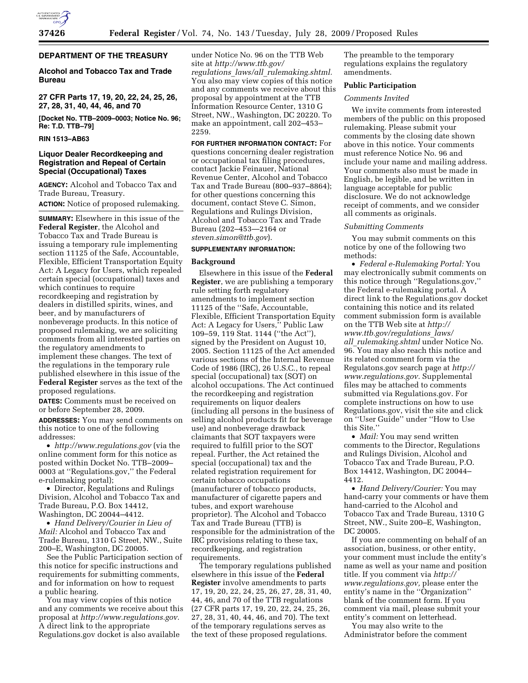# **DEPARTMENT OF THE TREASURY**

# **Alcohol and Tobacco Tax and Trade Bureau**

**27 CFR Parts 17, 19, 20, 22, 24, 25, 26, 27, 28, 31, 40, 44, 46, and 70** 

**[Docket No. TTB–2009–0003; Notice No. 96; Re: T.D. TTB–79]** 

### **RIN 1513–AB63**

# **Liquor Dealer Recordkeeping and Registration and Repeal of Certain Special (Occupational) Taxes**

**AGENCY:** Alcohol and Tobacco Tax and Trade Bureau, Treasury. **ACTION:** Notice of proposed rulemaking.

**SUMMARY:** Elsewhere in this issue of the **Federal Register**, the Alcohol and Tobacco Tax and Trade Bureau is issuing a temporary rule implementing section 11125 of the Safe, Accountable, Flexible, Efficient Transportation Equity Act: A Legacy for Users, which repealed certain special (occupational) taxes and which continues to require recordkeeping and registration by dealers in distilled spirits, wines, and beer, and by manufacturers of nonbeverage products. In this notice of proposed rulemaking, we are soliciting comments from all interested parties on the regulatory amendments to implement these changes. The text of the regulations in the temporary rule published elsewhere in this issue of the **Federal Register** serves as the text of the proposed regulations.

**DATES:** Comments must be received on or before September 28, 2009.

**ADDRESSES:** You may send comments on this notice to one of the following addresses:

• *http://www.regulations.gov* (via the online comment form for this notice as posted within Docket No. TTB–2009– 0003 at ''Regulations.gov,'' the Federal e-rulemaking portal);

• Director, Regulations and Rulings Division, Alcohol and Tobacco Tax and Trade Bureau, P.O. Box 14412, Washington, DC 20044–4412.

• *Hand Delivery/Courier in Lieu of Mail:* Alcohol and Tobacco Tax and Trade Bureau, 1310 G Street, NW., Suite 200–E, Washington, DC 20005.

See the Public Participation section of this notice for specific instructions and requirements for submitting comments, and for information on how to request a public hearing.

You may view copies of this notice and any comments we receive about this proposal at *http://www.regulations.gov.*  A direct link to the appropriate Regulations.gov docket is also available

under Notice No. 96 on the TTB Web site at *http://www.ttb.gov/ regulations*\_*laws/all*\_*rulemaking.shtml.*  You also may view copies of this notice and any comments we receive about this proposal by appointment at the TTB Information Resource Center, 1310 G Street, NW., Washington, DC 20220. To make an appointment, call 202–453– 2259.

**FOR FURTHER INFORMATION CONTACT:** For questions concerning dealer registration or occupational tax filing procedures, contact Jackie Feinauer, National Revenue Center, Alcohol and Tobacco Tax and Trade Bureau (800–937–8864); for other questions concerning this document, contact Steve C. Simon, Regulations and Rulings Division, Alcohol and Tobacco Tax and Trade Bureau (202–453—2164 or *steven.simon@ttb.gov*).

# **SUPPLEMENTARY INFORMATION:**

#### **Background**

Elsewhere in this issue of the **Federal Register**, we are publishing a temporary rule setting forth regulatory amendments to implement section 11125 of the ''Safe, Accountable, Flexible, Efficient Transportation Equity Act: A Legacy for Users,'' Public Law 109–59, 119 Stat. 1144 (''the Act''), signed by the President on August 10, 2005. Section 11125 of the Act amended various sections of the Internal Revenue Code of 1986 (IRC), 26 U.S.C., to repeal special (occupational) tax (SOT) on alcohol occupations. The Act continued the recordkeeping and registration requirements on liquor dealers (including all persons in the business of selling alcohol products fit for beverage use) and nonbeverage drawback claimants that SOT taxpayers were required to fulfill prior to the SOT repeal. Further, the Act retained the special (occupational) tax and the related registration requirement for certain tobacco occupations (manufacturer of tobacco products, manufacturer of cigarette papers and tubes, and export warehouse proprietor). The Alcohol and Tobacco Tax and Trade Bureau (TTB) is responsible for the administration of the IRC provisions relating to these tax, recordkeeping, and registration requirements.

The temporary regulations published elsewhere in this issue of the **Federal Register** involve amendments to parts 17, 19, 20, 22, 24, 25, 26, 27, 28, 31, 40, 44, 46, and 70 of the TTB regulations (27 CFR parts 17, 19, 20, 22, 24, 25, 26, 27, 28, 31, 40, 44, 46, and 70). The text of the temporary regulations serves as the text of these proposed regulations.

The preamble to the temporary regulations explains the regulatory amendments.

## **Public Participation**

## *Comments Invited*

We invite comments from interested members of the public on this proposed rulemaking. Please submit your comments by the closing date shown above in this notice. Your comments must reference Notice No. 96 and include your name and mailing address. Your comments also must be made in English, be legible, and be written in language acceptable for public disclosure. We do not acknowledge receipt of comments, and we consider all comments as originals.

#### *Submitting Comments*

You may submit comments on this notice by one of the following two methods:

• *Federal e-Rulemaking Portal:* You may electronically submit comments on this notice through ''Regulations.gov,'' the Federal e-rulemaking portal. A direct link to the Regulations.gov docket containing this notice and its related comment submission form is available on the TTB Web site at *http:// www.ttb.gov/regulations*\_*laws/ all*\_*rulemaking.shtml* under Notice No. 96. You may also reach this notice and its related comment form via the Regulatons.gov search page at *http:// www.regulations.gov.* Supplemental files may be attached to comments submitted via Regulations.gov. For complete instructions on how to use Regulations.gov, visit the site and click on ''User Guide'' under ''How to Use this Site.''

• *Mail:* You may send written comments to the Director, Regulations and Rulings Division, Alcohol and Tobacco Tax and Trade Bureau, P.O. Box 14412, Washington, DC 20044– 4412.

• *Hand Delivery/Courier:* You may hand-carry your comments or have them hand-carried to the Alcohol and Tobacco Tax and Trade Bureau, 1310 G Street, NW., Suite 200–E, Washington, DC 20005.

If you are commenting on behalf of an association, business, or other entity, your comment must include the entity's name as well as your name and position title. If you comment via *http:// www.regulations.gov,* please enter the entity's name in the ''Organization'' blank of the comment form. If you comment via mail, please submit your entity's comment on letterhead.

You may also write to the Administrator before the comment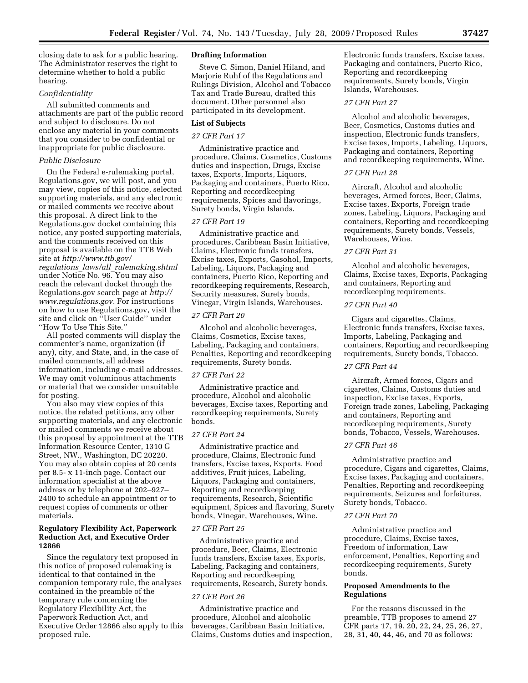closing date to ask for a public hearing. The Administrator reserves the right to determine whether to hold a public hearing.

## *Confidentiality*

All submitted comments and attachments are part of the public record and subject to disclosure. Do not enclose any material in your comments that you consider to be confidential or inappropriate for public disclosure.

#### *Public Disclosure*

On the Federal e-rulemaking portal, Regulations.gov, we will post, and you may view, copies of this notice, selected supporting materials, and any electronic or mailed comments we receive about this proposal. A direct link to the Regulations.gov docket containing this notice, any posted supporting materials, and the comments received on this proposal is available on the TTB Web site at *http://www.ttb.gov/ regulations*\_*laws/all*\_*rulemaking.shtml*  under Notice No. 96. You may also reach the relevant docket through the Regulations.gov search page at *http:// www.regulations.gov.* For instructions on how to use Regulations.gov, visit the site and click on ''User Guide'' under ''How To Use This Site.''

All posted comments will display the commenter's name, organization (if any), city, and State, and, in the case of mailed comments, all address information, including e-mail addresses. We may omit voluminous attachments or material that we consider unsuitable for posting.

You also may view copies of this notice, the related petitions, any other supporting materials, and any electronic or mailed comments we receive about this proposal by appointment at the TTB Information Resource Center, 1310 G Street, NW., Washington, DC 20220. You may also obtain copies at 20 cents per 8.5- x 11-inch page. Contact our information specialist at the above address or by telephone at 202–927– 2400 to schedule an appointment or to request copies of comments or other materials.

## **Regulatory Flexibility Act, Paperwork Reduction Act, and Executive Order 12866**

Since the regulatory text proposed in this notice of proposed rulemaking is identical to that contained in the companion temporary rule, the analyses contained in the preamble of the temporary rule concerning the Regulatory Flexibility Act, the Paperwork Reduction Act, and Executive Order 12866 also apply to this proposed rule.

### **Drafting Information**

Steve C. Simon, Daniel Hiland, and Marjorie Ruhf of the Regulations and Rulings Division, Alcohol and Tobacco Tax and Trade Bureau, drafted this document. Other personnel also participated in its development.

## **List of Subjects**

# *27 CFR Part 17*

Administrative practice and procedure, Claims, Cosmetics, Customs duties and inspection, Drugs, Excise taxes, Exports, Imports, Liquors, Packaging and containers, Puerto Rico, Reporting and recordkeeping requirements, Spices and flavorings, Surety bonds, Virgin Islands.

### *27 CFR Part 19*

Administrative practice and procedures, Caribbean Basin Initiative, Claims, Electronic funds transfers, Excise taxes, Exports, Gasohol, Imports, Labeling, Liquors, Packaging and containers, Puerto Rico, Reporting and recordkeeping requirements, Research, Security measures, Surety bonds, Vinegar, Virgin Islands, Warehouses.

# *27 CFR Part 20*

Alcohol and alcoholic beverages, Claims, Cosmetics, Excise taxes, Labeling, Packaging and containers, Penalties, Reporting and recordkeeping requirements, Surety bonds.

### *27 CFR Part 22*

Administrative practice and procedure, Alcohol and alcoholic beverages, Excise taxes, Reporting and recordkeeping requirements, Surety bonds.

# *27 CFR Part 24*

Administrative practice and procedure, Claims, Electronic fund transfers, Excise taxes, Exports, Food additives, Fruit juices, Labeling, Liquors, Packaging and containers, Reporting and recordkeeping requirements, Research, Scientific equipment, Spices and flavoring, Surety bonds, Vinegar, Warehouses, Wine.

## *27 CFR Part 25*

Administrative practice and procedure, Beer, Claims, Electronic funds transfers, Excise taxes, Exports, Labeling, Packaging and containers, Reporting and recordkeeping requirements, Research, Surety bonds.

#### *27 CFR Part 26*

Administrative practice and procedure, Alcohol and alcoholic beverages, Caribbean Basin Initiative, Claims, Customs duties and inspection, Electronic funds transfers, Excise taxes, Packaging and containers, Puerto Rico, Reporting and recordkeeping requirements, Surety bonds, Virgin Islands, Warehouses.

# *27 CFR Part 27*

Alcohol and alcoholic beverages, Beer, Cosmetics, Customs duties and inspection, Electronic funds transfers, Excise taxes, Imports, Labeling, Liquors, Packaging and containers, Reporting and recordkeeping requirements, Wine.

#### *27 CFR Part 28*

Aircraft, Alcohol and alcoholic beverages, Armed forces, Beer, Claims, Excise taxes, Exports, Foreign trade zones, Labeling, Liquors, Packaging and containers, Reporting and recordkeeping requirements, Surety bonds, Vessels, Warehouses, Wine.

# *27 CFR Part 31*

Alcohol and alcoholic beverages, Claims, Excise taxes, Exports, Packaging and containers, Reporting and recordkeeping requirements.

## *27 CFR Part 40*

Cigars and cigarettes, Claims, Electronic funds transfers, Excise taxes, Imports, Labeling, Packaging and containers, Reporting and recordkeeping requirements, Surety bonds, Tobacco.

### *27 CFR Part 44*

Aircraft, Armed forces, Cigars and cigarettes, Claims, Customs duties and inspection, Excise taxes, Exports, Foreign trade zones, Labeling, Packaging and containers, Reporting and recordkeeping requirements, Surety bonds, Tobacco, Vessels, Warehouses.

# *27 CFR Part 46*

Administrative practice and procedure, Cigars and cigarettes, Claims, Excise taxes, Packaging and containers, Penalties, Reporting and recordkeeping requirements, Seizures and forfeitures, Surety bonds, Tobacco.

## *27 CFR Part 70*

Administrative practice and procedure, Claims, Excise taxes, Freedom of information, Law enforcement, Penalties, Reporting and recordkeeping requirements, Surety bonds.

## **Proposed Amendments to the Regulations**

For the reasons discussed in the preamble, TTB proposes to amend 27 CFR parts 17, 19, 20, 22, 24, 25, 26, 27, 28, 31, 40, 44, 46, and 70 as follows: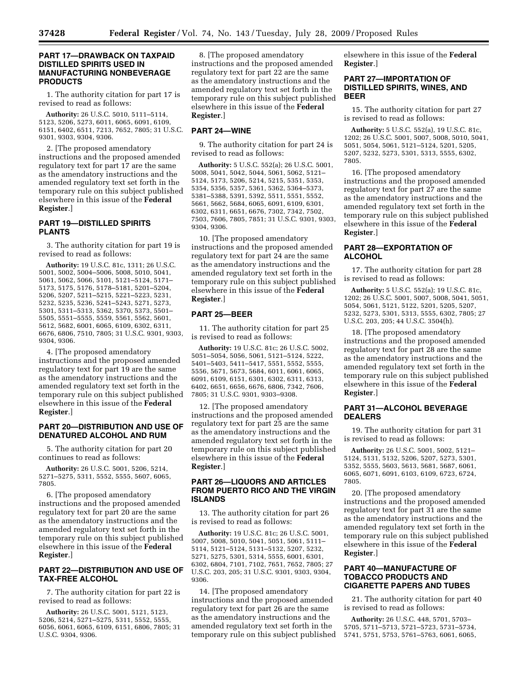# **PART 17—DRAWBACK ON TAXPAID DISTILLED SPIRITS USED IN MANUFACTURING NONBEVERAGE PRODUCTS**

1. The authority citation for part 17 is revised to read as follows:

**Authority:** 26 U.S.C. 5010, 5111–5114, 5123, 5206, 5273, 6011, 6065, 6091, 6109, 6151, 6402, 6511, 7213, 7652, 7805; 31 U.S.C. 9301, 9303, 9304, 9306.

2. [The proposed amendatory instructions and the proposed amended regulatory text for part 17 are the same as the amendatory instructions and the amended regulatory text set forth in the temporary rule on this subject published elsewhere in this issue of the **Federal Register**.]

# **PART 19—DISTILLED SPIRITS PLANTS**

3. The authority citation for part 19 is revised to read as follows:

**Authority:** 19 U.S.C. 81c, 1311; 26 U.S.C. 5001, 5002, 5004–5006, 5008, 5010, 5041, 5061, 5062, 5066, 5101, 5121–5124, 5171– 5173, 5175, 5176, 5178–5181, 5201–5204, 5206, 5207, 5211–5215, 5221–5223, 5231, 5232, 5235, 5236, 5241–5243, 5271, 5273, 5301, 5311–5313, 5362, 5370, 5373, 5501– 5505, 5551–5555, 5559, 5561, 5562, 5601, 5612, 5682, 6001, 6065, 6109, 6302, 6311, 6676, 6806, 7510, 7805; 31 U.S.C. 9301, 9303, 9304, 9306.

4. [The proposed amendatory instructions and the proposed amended regulatory text for part 19 are the same as the amendatory instructions and the amended regulatory text set forth in the temporary rule on this subject published elsewhere in this issue of the **Federal Register**.]

# **PART 20—DISTRIBUTION AND USE OF DENATURED ALCOHOL AND RUM**

5. The authority citation for part 20 continues to read as follows:

**Authority:** 26 U.S.C. 5001, 5206, 5214, 5271–5275, 5311, 5552, 5555, 5607, 6065, 7805.

6. [The proposed amendatory instructions and the proposed amended regulatory text for part 20 are the same as the amendatory instructions and the amended regulatory text set forth in the temporary rule on this subject published elsewhere in this issue of the **Federal Register**.]

# **PART 22—DISTRIBUTION AND USE OF TAX-FREE ALCOHOL**

7. The authority citation for part 22 is revised to read as follows:

**Authority:** 26 U.S.C. 5001, 5121, 5123, 5206, 5214, 5271–5275, 5311, 5552, 5555, 6056, 6061, 6065, 6109, 6151, 6806, 7805; 31 U.S.C. 9304, 9306.

8. [The proposed amendatory instructions and the proposed amended regulatory text for part 22 are the same as the amendatory instructions and the amended regulatory text set forth in the temporary rule on this subject published elsewhere in this issue of the **Federal Register**.]

## **PART 24—WINE**

9. The authority citation for part 24 is revised to read as follows:

**Authority:** 5 U.S.C. 552(a); 26 U.S.C. 5001, 5008, 5041, 5042, 5044, 5061, 5062, 5121– 5124, 5173, 5206, 5214, 5215, 5351, 5353, 5354, 5356, 5357, 5361, 5362, 5364–5373, 5381–5388, 5391, 5392, 5511, 5551, 5552, 5661, 5662, 5684, 6065, 6091, 6109, 6301, 6302, 6311, 6651, 6676, 7302, 7342, 7502, 7503, 7606, 7805, 7851; 31 U.S.C. 9301, 9303, 9304, 9306.

10. [The proposed amendatory instructions and the proposed amended regulatory text for part 24 are the same as the amendatory instructions and the amended regulatory text set forth in the temporary rule on this subject published elsewhere in this issue of the **Federal Register**.]

## **PART 25—BEER**

11. The authority citation for part 25 is revised to read as follows:

**Authority:** 19 U.S.C. 81c; 26 U.S.C. 5002, 5051–5054, 5056, 5061, 5121–5124, 5222, 5401–5403, 5411–5417, 5551, 5552, 5555, 5556, 5671, 5673, 5684, 6011, 6061, 6065, 6091, 6109, 6151, 6301, 6302, 6311, 6313, 6402, 6651, 6656, 6676, 6806, 7342, 7606, 7805; 31 U.S.C. 9301, 9303–9308.

12. [The proposed amendatory instructions and the proposed amended regulatory text for part 25 are the same as the amendatory instructions and the amended regulatory text set forth in the temporary rule on this subject published elsewhere in this issue of the **Federal Register**.]

# **PART 26—LIQUORS AND ARTICLES FROM PUERTO RICO AND THE VIRGIN ISLANDS**

13. The authority citation for part 26 is revised to read as follows:

**Authority:** 19 U.S.C. 81c; 26 U.S.C. 5001, 5007, 5008, 5010, 5041, 5051, 5061, 5111– 5114, 5121–5124, 5131–5132, 5207, 5232, 5271, 5275, 5301, 5314, 5555, 6001, 6301, 6302, 6804, 7101, 7102, 7651, 7652, 7805; 27 U.S.C. 203, 205; 31 U.S.C. 9301, 9303, 9304, 9306.

14. [The proposed amendatory instructions and the proposed amended regulatory text for part 26 are the same as the amendatory instructions and the amended regulatory text set forth in the temporary rule on this subject published elsewhere in this issue of the **Federal Register**.]

## **PART 27—IMPORTATION OF DISTILLED SPIRITS, WINES, AND BEER**

15. The authority citation for part 27 is revised to read as follows:

**Authority:** 5 U.S.C. 552(a), 19 U.S.C. 81c, 1202; 26 U.S.C. 5001, 5007, 5008, 5010, 5041, 5051, 5054, 5061, 5121–5124, 5201, 5205, 5207, 5232, 5273, 5301, 5313, 5555, 6302, 7805.

16. [The proposed amendatory instructions and the proposed amended regulatory text for part 27 are the same as the amendatory instructions and the amended regulatory text set forth in the temporary rule on this subject published elsewhere in this issue of the **Federal Register**.]

# **PART 28—EXPORTATION OF ALCOHOL**

17. The authority citation for part 28 is revised to read as follows:

**Authority:** 5 U.S.C. 552(a); 19 U.S.C. 81c, 1202; 26 U.S.C. 5001, 5007, 5008, 5041, 5051, 5054, 5061, 5121, 5122, 5201, 5205, 5207, 5232, 5273, 5301, 5313, 5555, 6302, 7805; 27 U.S.C. 203, 205; 44 U.S.C. 3504(h).

18. [The proposed amendatory instructions and the proposed amended regulatory text for part 28 are the same as the amendatory instructions and the amended regulatory text set forth in the temporary rule on this subject published elsewhere in this issue of the **Federal Register**.]

# **PART 31—ALCOHOL BEVERAGE DEALERS**

19. The authority citation for part 31 is revised to read as follows:

**Authority:** 26 U.S.C. 5001, 5002, 5121– 5124, 5131, 5132, 5206, 5207, 5273, 5301, 5352, 5555, 5603, 5613, 5681, 5687, 6061, 6065, 6071, 6091, 6103, 6109, 6723, 6724, 7805.

20. [The proposed amendatory instructions and the proposed amended regulatory text for part 31 are the same as the amendatory instructions and the amended regulatory text set forth in the temporary rule on this subject published elsewhere in this issue of the **Federal Register**.]

# **PART 40—MANUFACTURE OF TOBACCO PRODUCTS AND CIGARETTE PAPERS AND TUBES**

21. The authority citation for part 40 is revised to read as follows:

**Authority:** 26 U.S.C. 448, 5701, 5703– 5705, 5711–5713, 5721–5723, 5731–5734, 5741, 5751, 5753, 5761–5763, 6061, 6065,